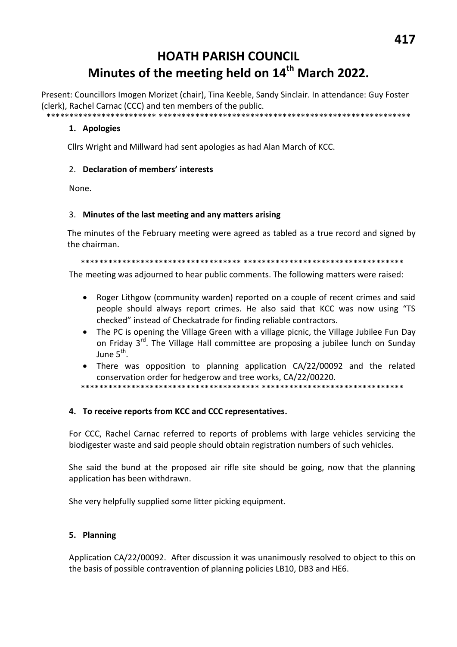# **HOATH PARISH COUNCIL** Minutes of the meeting held on 14<sup>th</sup> March 2022.

Present: Councillors Imogen Morizet (chair), Tina Keeble, Sandy Sinclair. In attendance: Guy Foster (clerk), Rachel Carnac (CCC) and ten members of the public. \*\*\*\*\*\*\*\*\*\*\*\*\*\*\*\*\*\*\*\*\*\*\*\*\*\*\*\*

#### 1. Apologies

Cllrs Wright and Millward had sent apologies as had Alan March of KCC.

#### 2. Declaration of members' interests

None.

#### 3. Minutes of the last meeting and any matters arising

The minutes of the February meeting were agreed as tabled as a true record and signed by the chairman.

The meeting was adjourned to hear public comments. The following matters were raised:

- Roger Lithgow (community warden) reported on a couple of recent crimes and said  $\bullet$ people should always report crimes. He also said that KCC was now using "TS checked" instead of Checkatrade for finding reliable contractors.
- The PC is opening the Village Green with a village picnic, the Village Jubilee Fun Day on Fridav 3<sup>rd</sup>. The Village Hall committee are proposing a jubilee lunch on Sunday  $\lim_{h \to 0} 5^{th}$
- There was opposition to planning application CA/22/00092 and the related conservation order for hedgerow and tree works, CA/22/00220.

\*\*\*\*\*\*\*\*\*\*\*\*\*\*\*\*\*\*

#### 4. To receive reports from KCC and CCC representatives.

For CCC, Rachel Carnac referred to reports of problems with large vehicles servicing the biodigester waste and said people should obtain registration numbers of such vehicles.

She said the bund at the proposed air rifle site should be going, now that the planning application has been withdrawn.

She very helpfully supplied some litter picking equipment.

#### 5. Planning

Application CA/22/00092. After discussion it was unanimously resolved to object to this on the basis of possible contravention of planning policies LB10, DB3 and HE6.